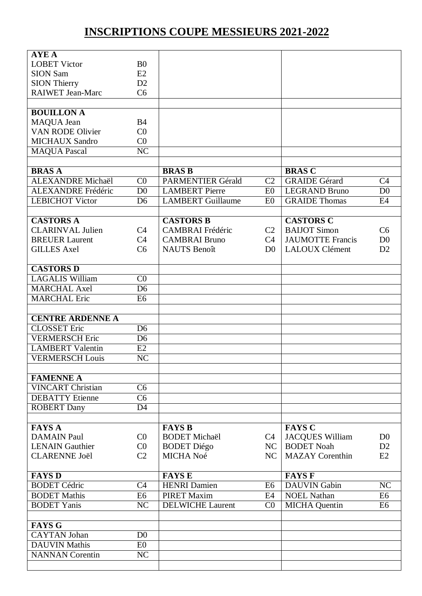## **INSCRIPTIONS COUPE MESSIEURS 2021-2022**

| <b>AYEA</b>               |                        |                          |                |                         |                        |
|---------------------------|------------------------|--------------------------|----------------|-------------------------|------------------------|
| <b>LOBET Victor</b>       | B <sub>0</sub>         |                          |                |                         |                        |
| <b>SION Sam</b>           | E2                     |                          |                |                         |                        |
| <b>SION Thierry</b>       | D2                     |                          |                |                         |                        |
| <b>RAIWET Jean-Marc</b>   | C <sub>6</sub>         |                          |                |                         |                        |
|                           |                        |                          |                |                         |                        |
|                           |                        |                          |                |                         |                        |
| <b>BOUILLON A</b>         |                        |                          |                |                         |                        |
| MAQUA Jean                | B <sub>4</sub>         |                          |                |                         |                        |
| <b>VAN RODE Olivier</b>   | CO                     |                          |                |                         |                        |
| <b>MICHAUX Sandro</b>     | CO                     |                          |                |                         |                        |
| <b>MAQUA Pascal</b>       | N <sub>C</sub>         |                          |                |                         |                        |
|                           |                        |                          |                |                         |                        |
| <b>BRASA</b>              |                        | <b>BRAS B</b>            |                | <b>BRAS C</b>           |                        |
| ALEXANDRE Michaël         | CO                     | <b>PARMENTIER Gérald</b> | C <sub>2</sub> | <b>GRAIDE</b> Gérard    | C <sub>4</sub>         |
| <b>ALEXANDRE</b> Frédéric | D <sub>0</sub>         | <b>LAMBERT</b> Pierre    | E <sub>0</sub> | <b>LEGRAND Bruno</b>    | $\overline{D0}$        |
| <b>LEBICHOT Victor</b>    | D <sub>6</sub>         | <b>LAMBERT</b> Guillaume | E <sub>0</sub> | <b>GRAIDE Thomas</b>    | E4                     |
|                           |                        |                          |                |                         |                        |
| <b>CASTORS A</b>          |                        | <b>CASTORS B</b>         |                | <b>CASTORS C</b>        |                        |
| <b>CLARINVAL Julien</b>   | C <sub>4</sub>         | <b>CAMBRAI</b> Frédéric  | C <sub>2</sub> | <b>BAIJOT</b> Simon     | C6                     |
| <b>BREUER Laurent</b>     | C <sub>4</sub>         | <b>CAMBRAI Bruno</b>     | C4             | <b>JAUMOTTE Francis</b> | D <sub>0</sub>         |
| <b>GILLES Axel</b>        | C <sub>6</sub>         | <b>NAUTS</b> Benoît      | D <sub>0</sub> | <b>LALOUX Clément</b>   | D2                     |
|                           |                        |                          |                |                         |                        |
| <b>CASTORS D</b>          |                        |                          |                |                         |                        |
| <b>LAGALIS William</b>    | CO                     |                          |                |                         |                        |
| <b>MARCHAL Axel</b>       | D <sub>6</sub>         |                          |                |                         |                        |
| <b>MARCHAL Eric</b>       | E6                     |                          |                |                         |                        |
|                           |                        |                          |                |                         |                        |
|                           |                        |                          |                |                         |                        |
| <b>CENTRE ARDENNE A</b>   |                        |                          |                |                         |                        |
| <b>CLOSSET</b> Eric       | D <sub>6</sub>         |                          |                |                         |                        |
| <b>VERMERSCH Eric</b>     | D <sub>6</sub>         |                          |                |                         |                        |
| <b>LAMBERT</b> Valentin   | E2                     |                          |                |                         |                        |
| <b>VERMERSCH Louis</b>    | NC                     |                          |                |                         |                        |
|                           |                        |                          |                |                         |                        |
| <b>FAMENNE A</b>          |                        |                          |                |                         |                        |
| <b>VINCART Christian</b>  | C <sub>6</sub>         |                          |                |                         |                        |
| <b>DEBATTY</b> Etienne    | C <sub>6</sub>         |                          |                |                         |                        |
| <b>ROBERT Dany</b>        | D <sub>4</sub>         |                          |                |                         |                        |
|                           |                        |                          |                |                         |                        |
| <b>FAYS A</b>             |                        | <b>FAYS B</b>            |                | <b>FAYS C</b>           |                        |
| <b>DAMAIN Paul</b>        | CO                     | <b>BODET Michaël</b>     | C4             | <b>JACQUES William</b>  | D <sub>0</sub>         |
| <b>LENAIN</b> Gauthier    | CO                     | <b>BODET</b> Diégo       | NC             | <b>BODET Noah</b>       | D2                     |
| <b>CLARENNE Joël</b>      | C <sub>2</sub>         | MICHA Noé                | NC             | <b>MAZAY</b> Corenthin  | E2                     |
|                           |                        |                          |                |                         |                        |
| <b>FAYS D</b>             |                        | <b>FAYS E</b>            |                | <b>FAYS F</b>           |                        |
| <b>BODET Cédric</b>       | C <sub>4</sub>         | <b>HENRI</b> Damien      | E <sub>6</sub> | <b>DAUVIN</b> Gabin     | $\overline{\text{NC}}$ |
| <b>BODET</b> Mathis       | E <sub>6</sub>         | <b>PIRET Maxim</b>       | E4             | <b>NOEL Nathan</b>      | E <sub>6</sub>         |
| <b>BODET Yanis</b>        | $\overline{\text{NC}}$ | <b>DELWICHE Laurent</b>  | C <sub>0</sub> | <b>MICHA</b> Quentin    | E <sub>6</sub>         |
|                           |                        |                          |                |                         |                        |
|                           |                        |                          |                |                         |                        |
| <b>FAYS G</b>             |                        |                          |                |                         |                        |
| <b>CAYTAN Johan</b>       | D <sub>0</sub>         |                          |                |                         |                        |
| <b>DAUVIN Mathis</b>      | E0                     |                          |                |                         |                        |
| <b>NANNAN</b> Corentin    | NC                     |                          |                |                         |                        |
|                           |                        |                          |                |                         |                        |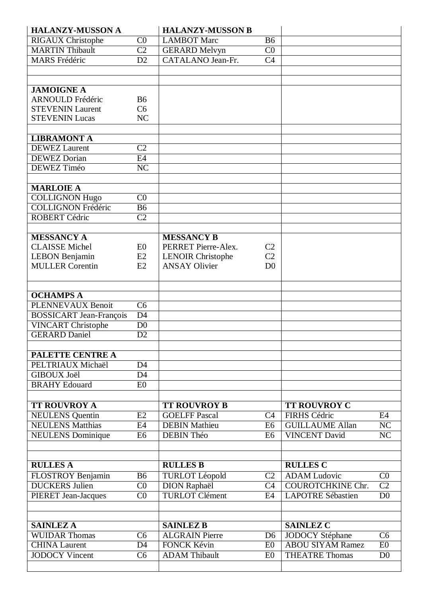| <b>HALANZY-MUSSON A</b>                            |                        | <b>HALANZY-MUSSON B</b>            |                      |                                                |                              |
|----------------------------------------------------|------------------------|------------------------------------|----------------------|------------------------------------------------|------------------------------|
| <b>RIGAUX Christophe</b>                           | CO                     | <b>LAMBOT Marc</b>                 | <b>B6</b>            |                                                |                              |
| <b>MARTIN Thibault</b>                             | $\overline{C2}$        | <b>GERARD Melvyn</b>               | C <sub>0</sub>       |                                                |                              |
| <b>MARS</b> Frédéric                               | D2                     | CATALANO Jean-Fr.                  | C <sub>4</sub>       |                                                |                              |
|                                                    |                        |                                    |                      |                                                |                              |
|                                                    |                        |                                    |                      |                                                |                              |
| <b>JAMOIGNE A</b>                                  |                        |                                    |                      |                                                |                              |
| <b>ARNOULD Frédéric</b>                            | <b>B6</b>              |                                    |                      |                                                |                              |
| <b>STEVENIN Laurent</b>                            | C6                     |                                    |                      |                                                |                              |
| <b>STEVENIN Lucas</b>                              | NC                     |                                    |                      |                                                |                              |
|                                                    |                        |                                    |                      |                                                |                              |
| <b>LIBRAMONT A</b>                                 |                        |                                    |                      |                                                |                              |
| <b>DEWEZ</b> Laurent                               | C <sub>2</sub>         |                                    |                      |                                                |                              |
| <b>DEWEZ</b> Dorian                                | E4                     |                                    |                      |                                                |                              |
| DEWEZ Timéo                                        | $\overline{\text{NC}}$ |                                    |                      |                                                |                              |
| <b>MARLOIE A</b>                                   |                        |                                    |                      |                                                |                              |
|                                                    | CO                     |                                    |                      |                                                |                              |
| <b>COLLIGNON Hugo</b><br><b>COLLIGNON Frédéric</b> | <b>B6</b>              |                                    |                      |                                                |                              |
| <b>ROBERT Cédric</b>                               | $\overline{C2}$        |                                    |                      |                                                |                              |
|                                                    |                        |                                    |                      |                                                |                              |
| <b>MESSANCY A</b>                                  |                        | <b>MESSANCY B</b>                  |                      |                                                |                              |
| <b>CLAISSE</b> Michel                              | E <sub>0</sub>         | PERRET Pierre-Alex.                | C <sub>2</sub>       |                                                |                              |
| <b>LEBON Benjamin</b>                              | E2                     | <b>LENOIR Christophe</b>           | C <sub>2</sub>       |                                                |                              |
| <b>MULLER Corentin</b>                             | E2                     | <b>ANSAY Olivier</b>               | D <sub>0</sub>       |                                                |                              |
|                                                    |                        |                                    |                      |                                                |                              |
|                                                    |                        |                                    |                      |                                                |                              |
| <b>OCHAMPS A</b>                                   |                        |                                    |                      |                                                |                              |
| <b>PLENNEVAUX Benoit</b>                           | $\overline{\text{C6}}$ |                                    |                      |                                                |                              |
| <b>BOSSICART</b> Jean-François                     | $\overline{D4}$        |                                    |                      |                                                |                              |
| <b>VINCART Christophe</b>                          | $\overline{D0}$        |                                    |                      |                                                |                              |
| <b>GERARD Daniel</b>                               | D2                     |                                    |                      |                                                |                              |
|                                                    |                        |                                    |                      |                                                |                              |
| <b>PALETTE CENTRE A</b>                            |                        |                                    |                      |                                                |                              |
| PELTRIAUX Michaël                                  | D <sub>4</sub>         |                                    |                      |                                                |                              |
| <b>GIBOUX Joël</b>                                 | D <sub>4</sub>         |                                    |                      |                                                |                              |
| <b>BRAHY Edouard</b>                               | E <sub>0</sub>         |                                    |                      |                                                |                              |
|                                                    |                        |                                    |                      |                                                |                              |
| <b>TT ROUVROY A</b>                                |                        | <b>TT ROUVROY B</b>                |                      | <b>TT ROUVROY C</b>                            |                              |
| <b>NEULENS</b> Quentin                             | E2                     | <b>GOELFF Pascal</b>               | C4                   | <b>FIRHS Cédric</b>                            | E4                           |
| <b>NEULENS Matthias</b>                            | E4                     | <b>DEBIN Mathieu</b><br>DEBIN Théo | E6<br>E <sub>6</sub> | <b>GUILLAUME Allan</b><br><b>VINCENT David</b> | NC<br>$\overline{\text{NC}}$ |
| <b>NEULENS</b> Dominique                           | E <sub>6</sub>         |                                    |                      |                                                |                              |
|                                                    |                        |                                    |                      |                                                |                              |
| <b>RULLES A</b>                                    |                        | <b>RULLES B</b>                    |                      | <b>RULLES C</b>                                |                              |
| FLOSTROY Benjamin                                  | <b>B6</b>              | <b>TURLOT Léopold</b>              | C <sub>2</sub>       | <b>ADAM</b> Ludovic                            | $\overline{C}0$              |
| <b>DUCKERS</b> Julien                              | CO                     | <b>DION Raphaël</b>                | C <sub>4</sub>       | <b>COUROTCHKINE Chr.</b>                       | $\overline{C2}$              |
| <b>PIERET Jean-Jacques</b>                         | CO                     | <b>TURLOT Clément</b>              | E4                   | <b>LAPOTRE Sébastien</b>                       | D <sub>0</sub>               |
|                                                    |                        |                                    |                      |                                                |                              |
|                                                    |                        |                                    |                      |                                                |                              |
| <b>SAINLEZ A</b>                                   |                        | <b>SAINLEZ B</b>                   |                      | <b>SAINLEZ C</b>                               |                              |
| <b>WUIDAR Thomas</b>                               | C <sub>6</sub>         | <b>ALGRAIN Pierre</b>              | D <sub>6</sub>       | <b>JODOCY Stéphane</b>                         | C <sub>6</sub>               |
| <b>CHINA Laurent</b>                               | D <sub>4</sub>         | <b>FONCK Kévin</b>                 | E <sub>0</sub>       | <b>ABOU SIYAM Ramez</b>                        | E0                           |
| <b>JODOCY Vincent</b>                              | C <sub>6</sub>         | <b>ADAM Thibault</b>               | E <sub>0</sub>       | <b>THEATRE Thomas</b>                          | D <sub>0</sub>               |
|                                                    |                        |                                    |                      |                                                |                              |